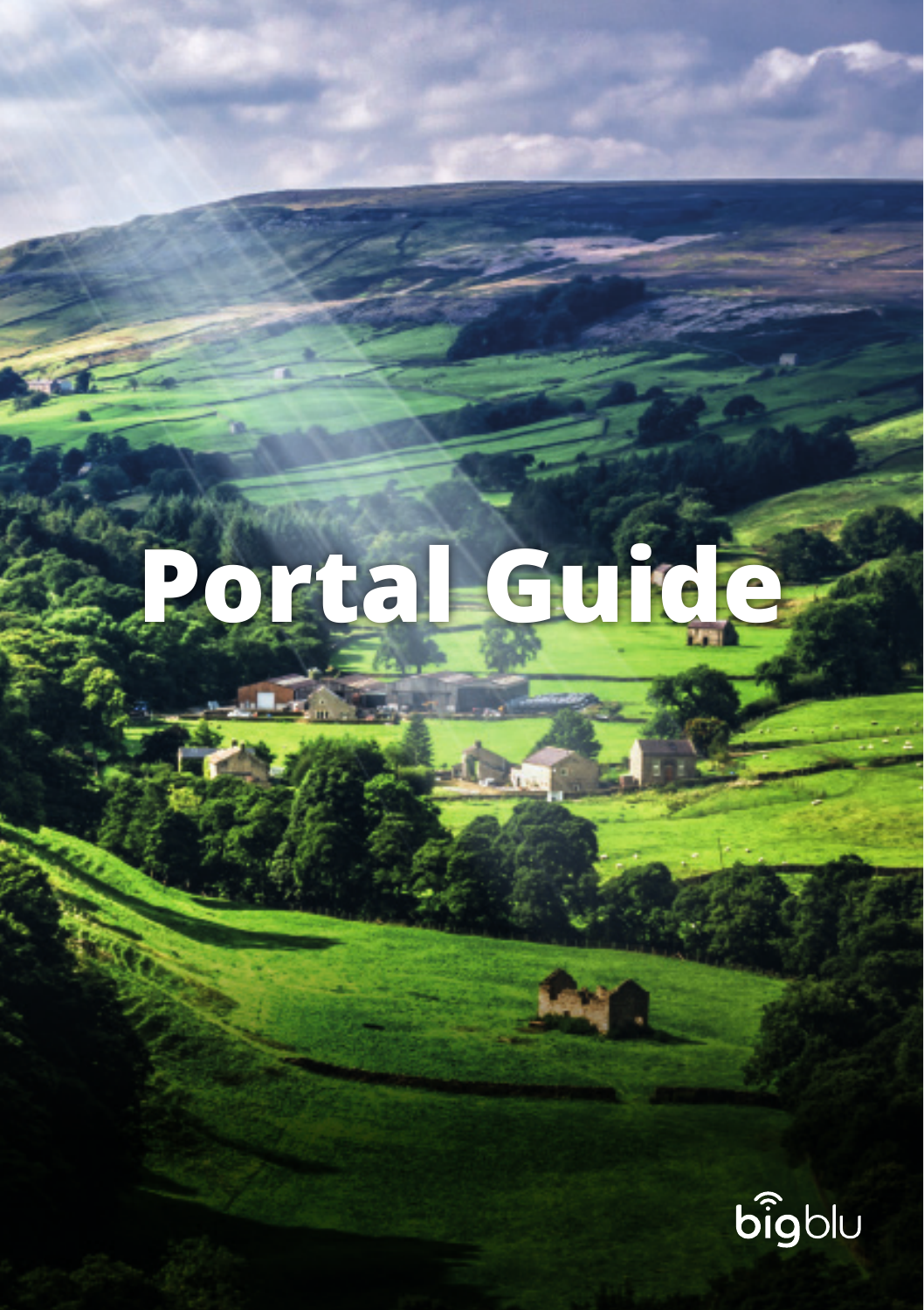**Portal Guide** 

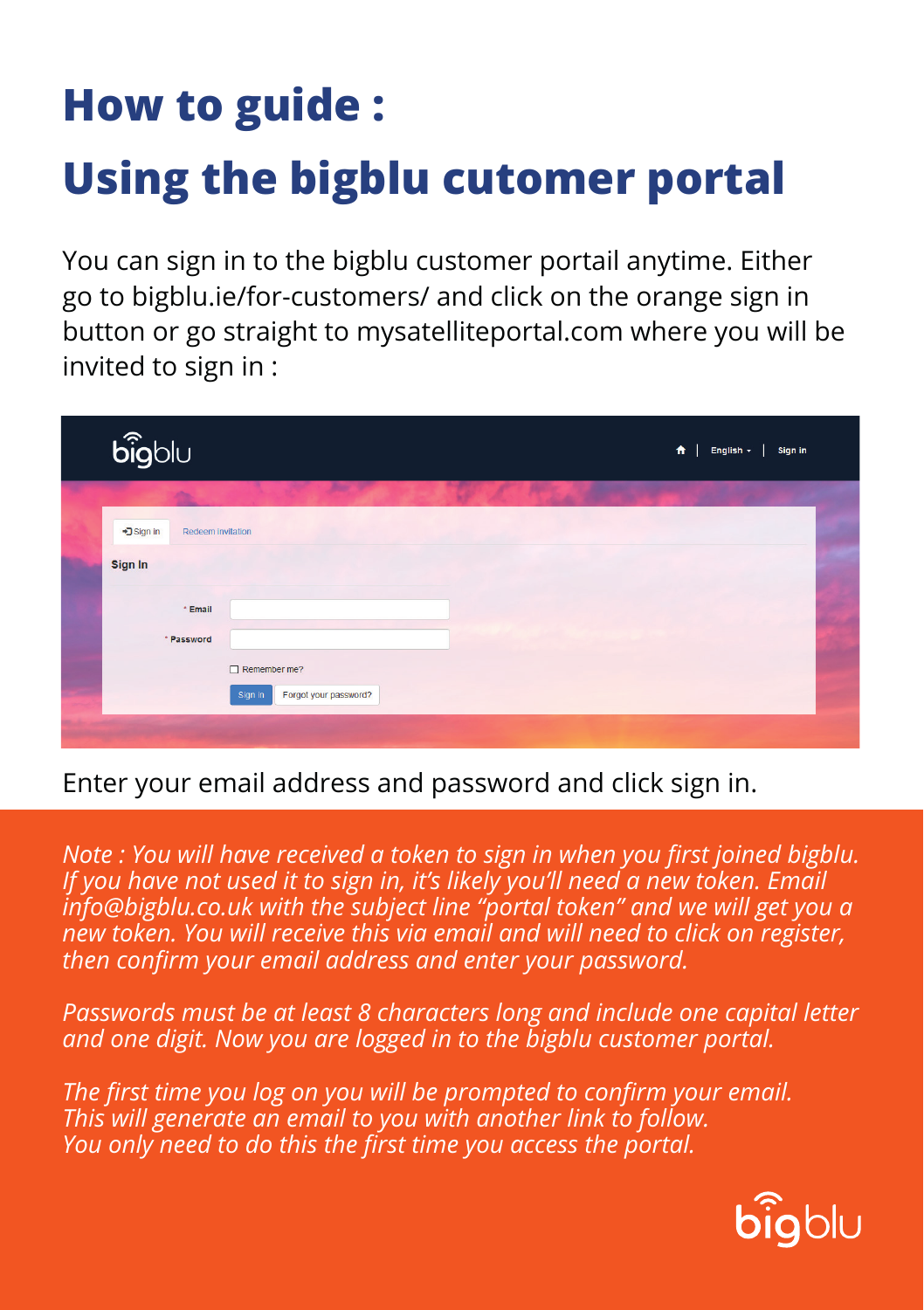## **How to guide : Using the bigblu cutomer portal**

You can sign in to the bigblu customer portail anytime. Either go to bigblu.ie/for-customers/ and click on the orange sign in button or go straight to mysatelliteportal.com where you will be invited to sign in :

| $\widehat{\text{big}}$          |                                                  | 青<br>English $\sim$<br>Sign in |  |
|---------------------------------|--------------------------------------------------|--------------------------------|--|
| +D Sign in<br>Redeem invitation |                                                  |                                |  |
| Sign In                         |                                                  |                                |  |
| * Email<br>* Password           |                                                  |                                |  |
|                                 | Remember me?<br>Forgot your password?<br>Sign in |                                |  |
|                                 |                                                  |                                |  |

Enter your email address and password and click sign in.

*Note : You will have received a token to sign in when you first joined bigblu. If you have not used it to sign in, it's likely you'll need a new token. Email info@bigblu.co.uk with the subject line "portal token" and we will get you a new token. You will receive this via email and will need to click on register, then confirm your email address and enter your password.* 

*Passwords must be at least 8 characters long and include one capital letter and one digit. Now you are logged in to the bigblu customer portal.*

*The first time you log on you will be prompted to confirm your email. This will generate an email to you with another link to follow. You only need to do this the first time you access the portal.*

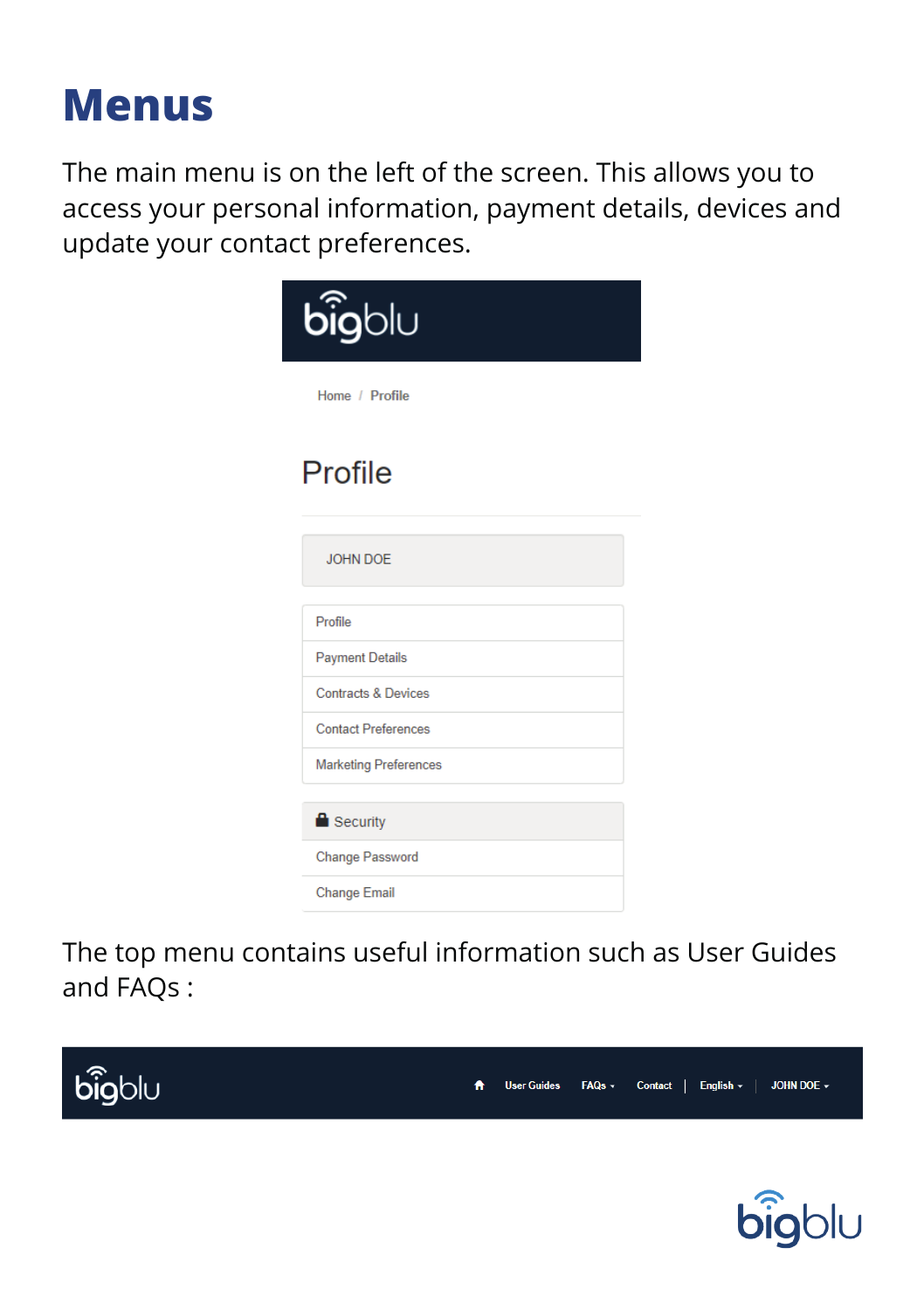## **Menus**

The main menu is on the left of the screen. This allows you to access your personal information, payment details, devices and update your contact preferences.

| <b>big</b> blu                 |  |
|--------------------------------|--|
| Home / Profile                 |  |
| Profile                        |  |
| <b>JOHN DOE</b>                |  |
| Profile                        |  |
| <b>Payment Details</b>         |  |
| <b>Contracts &amp; Devices</b> |  |
| <b>Contact Preferences</b>     |  |
| <b>Marketing Preferences</b>   |  |
| Security                       |  |
| Change Password                |  |
| <b>Change Email</b>            |  |

The top menu contains useful information such as User Guides and FAQs :



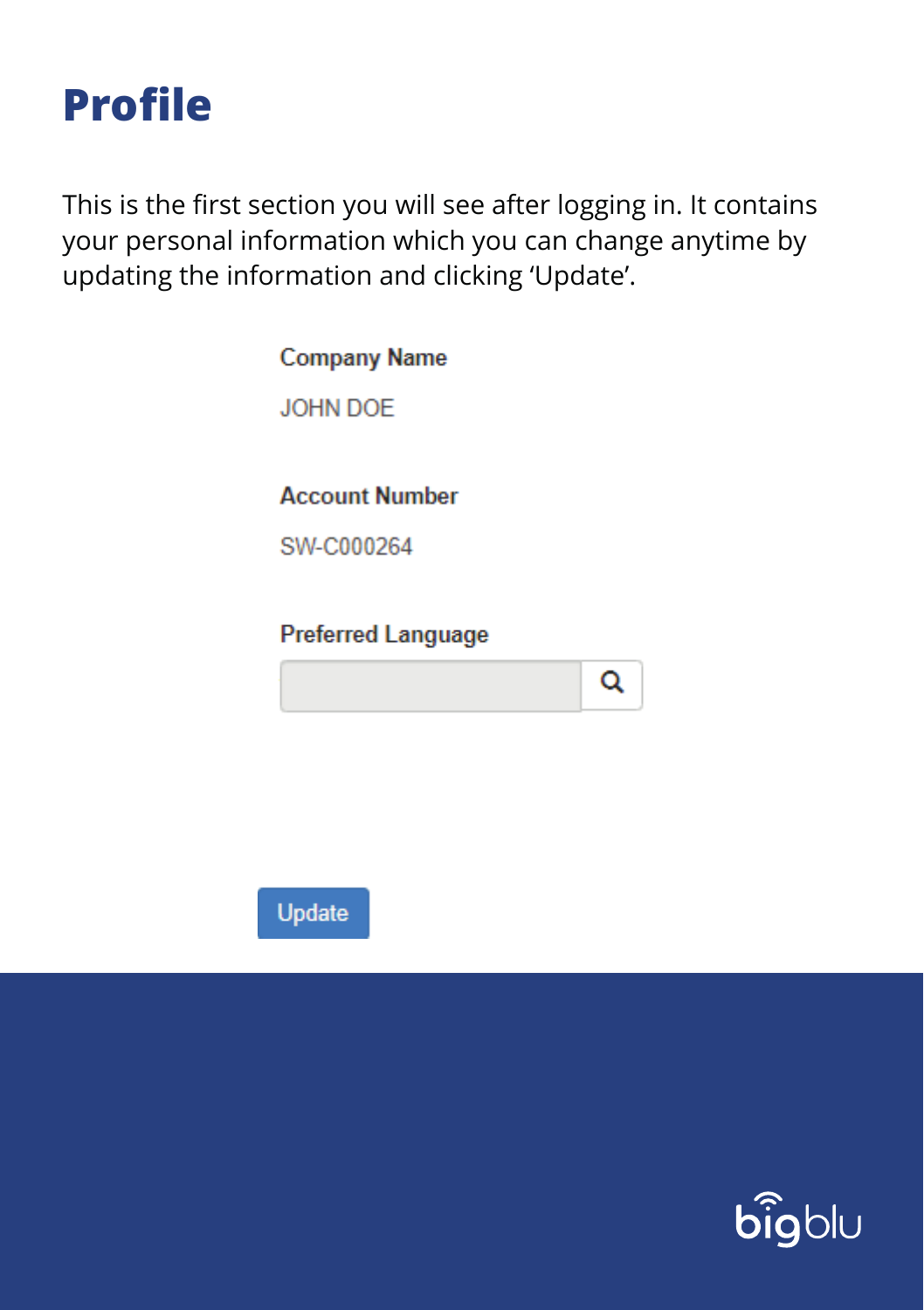

This is the first section you will see after logging in. It contains your personal information which you can change anytime by updating the information and clicking 'Update'.

> **Company Name** JOHN DOF **Account Number** SW-C000264

**Preferred Language** 





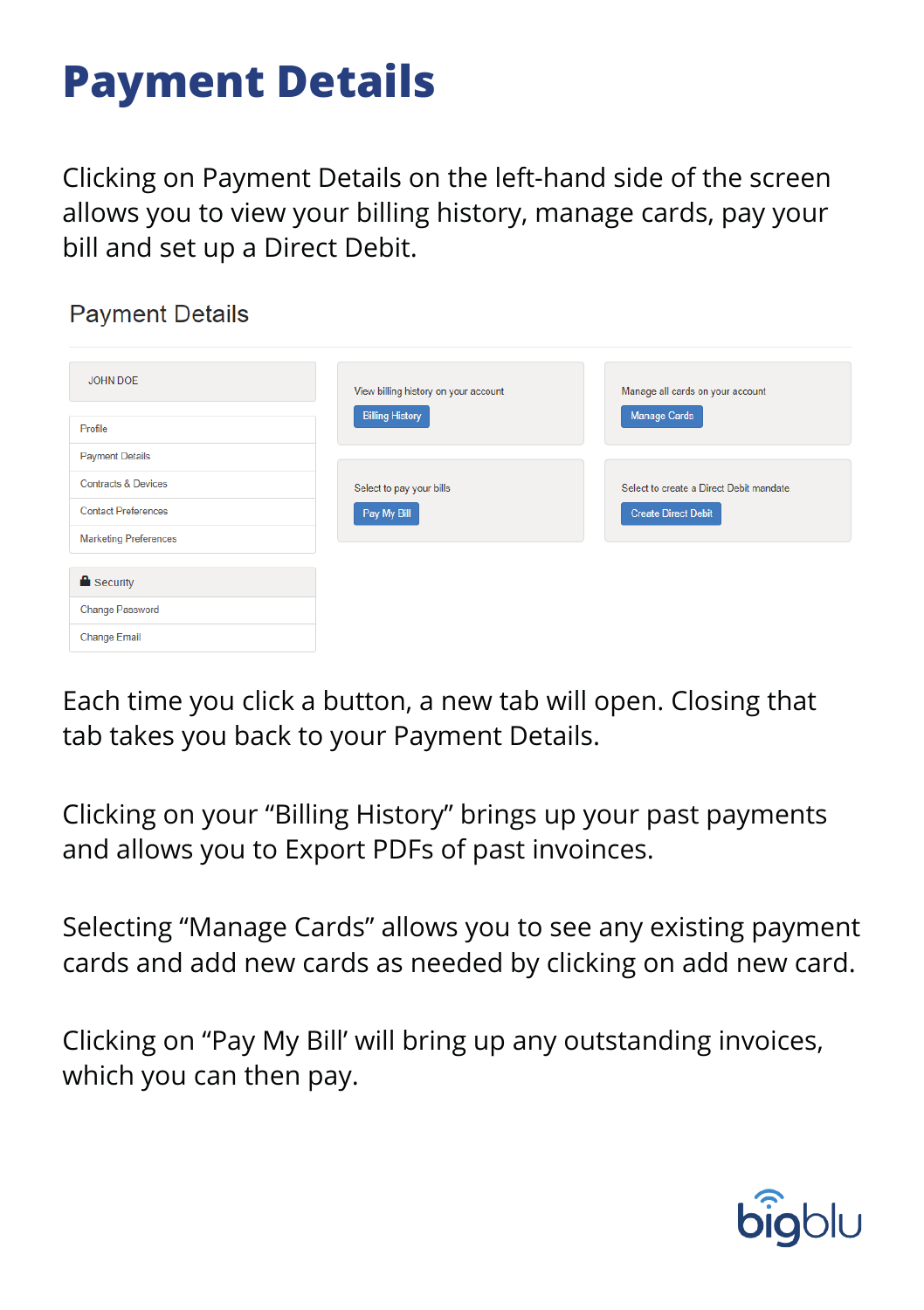## **Payment Details**

Clicking on Payment Details on the left-hand side of the screen allows you to view your billing history, manage cards, pay your bill and set up a Direct Debit.

#### **Payment Details**

| JOHN DOE<br>Profile            | View billing history on your account<br><b>Billing History</b> | Manage all cards on your account<br><b>Manage Cards</b> |  |  |
|--------------------------------|----------------------------------------------------------------|---------------------------------------------------------|--|--|
| <b>Payment Details</b>         |                                                                |                                                         |  |  |
| <b>Contracts &amp; Devices</b> | Select to pay your bills                                       | Select to create a Direct Debit mandate                 |  |  |
| <b>Contact Preferences</b>     | Pay My Bill                                                    | <b>Create Direct Debit</b>                              |  |  |
| <b>Marketing Preferences</b>   |                                                                |                                                         |  |  |
|                                |                                                                |                                                         |  |  |
| <b>Security</b>                |                                                                |                                                         |  |  |
| <b>Change Password</b>         |                                                                |                                                         |  |  |
| <b>Change Email</b>            |                                                                |                                                         |  |  |

Each time you click a button, a new tab will open. Closing that tab takes you back to your Payment Details.

Clicking on your "Billing History" brings up your past payments and allows you to Export PDFs of past invoinces.

Selecting "Manage Cards" allows you to see any existing payment cards and add new cards as needed by clicking on add new card.

Clicking on "Pay My Bill' will bring up any outstanding invoices, which you can then pay.

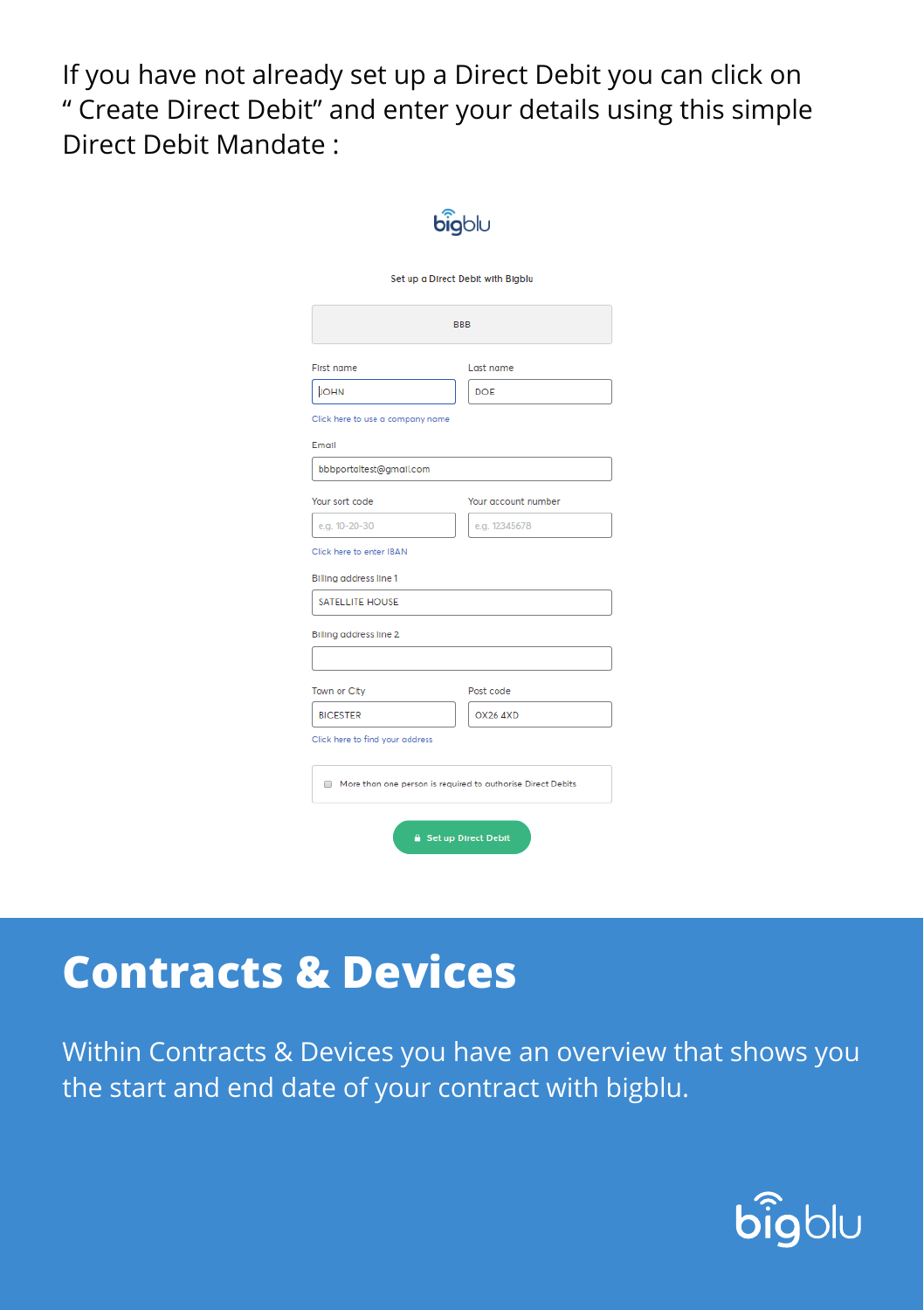If you have not already set up a Direct Debit you can click on " Create Direct Debit" and enter your details using this simple Direct Debit Mandate :

| bigblu                                                      |                                   |  |  |  |  |
|-------------------------------------------------------------|-----------------------------------|--|--|--|--|
|                                                             | Set up a Direct Debit with Bigblu |  |  |  |  |
| <b>BBB</b>                                                  |                                   |  |  |  |  |
| <b>First name</b>                                           | Last name                         |  |  |  |  |
| <b>JOHN</b>                                                 | <b>DOE</b>                        |  |  |  |  |
| Click here to use a company name                            |                                   |  |  |  |  |
| Email                                                       |                                   |  |  |  |  |
| bbbportaltest@gmail.com                                     |                                   |  |  |  |  |
| Your sort code                                              | Your account number               |  |  |  |  |
| e.g. 10-20-30                                               | e.g. 12345678                     |  |  |  |  |
| Click here to enter IBAN                                    |                                   |  |  |  |  |
| <b>Billing address line 1</b>                               |                                   |  |  |  |  |
| <b>SATELLITE HOUSE</b>                                      |                                   |  |  |  |  |
| Billing address line 2                                      |                                   |  |  |  |  |
|                                                             |                                   |  |  |  |  |
| Town or City                                                | Post code                         |  |  |  |  |
| <b>BICESTER</b>                                             | <b>OX26 4XD</b>                   |  |  |  |  |
| Click here to find your address                             |                                   |  |  |  |  |
| More than one person is required to authorise Direct Debits |                                   |  |  |  |  |
| Set up Direct Debit                                         |                                   |  |  |  |  |

## **Contracts & Devices**

Within Contracts & Devices you have an overview that shows you the start and end date of your contract with bigblu.

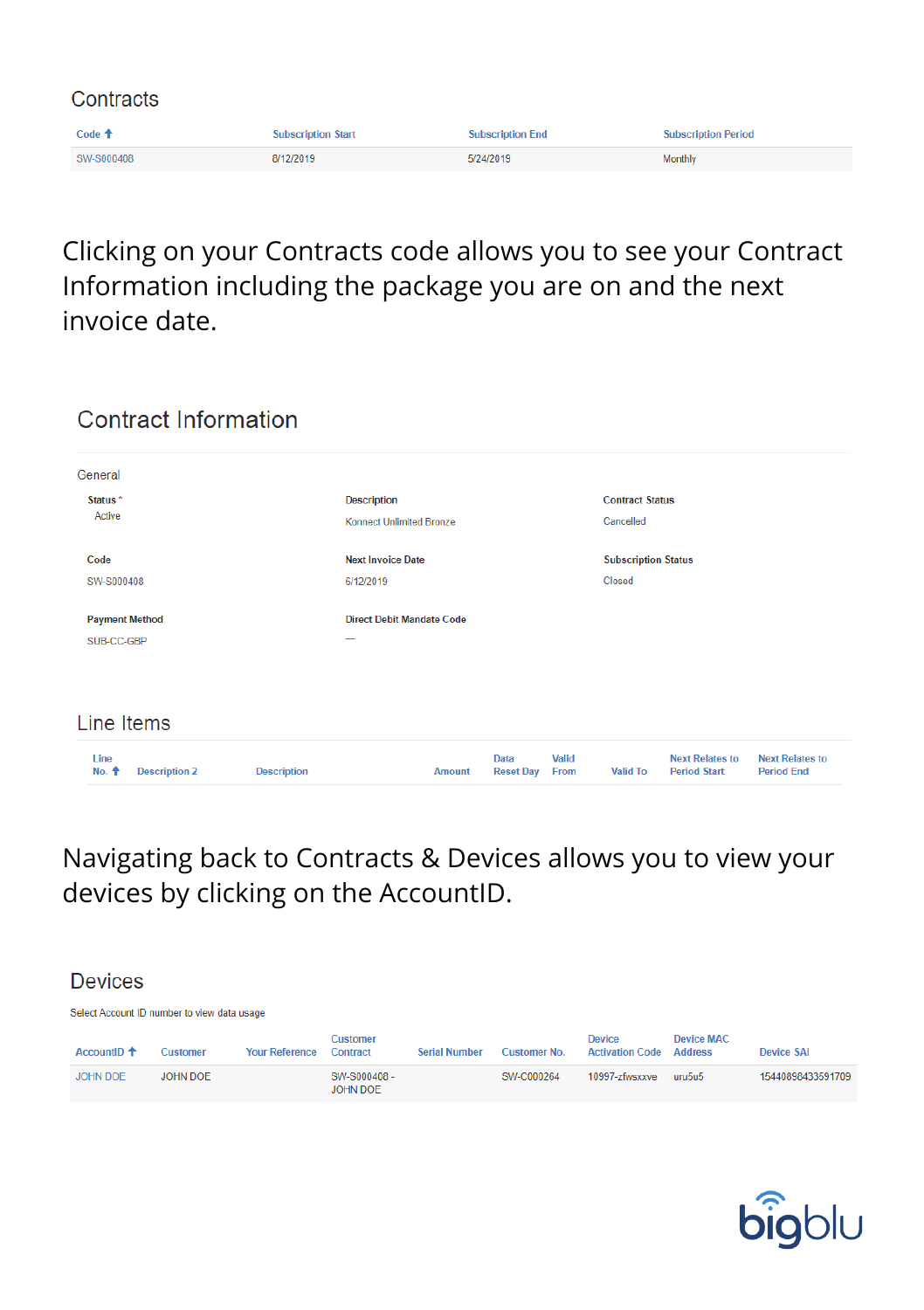| Contracts         |                           |                         |                            |  |  |  |
|-------------------|---------------------------|-------------------------|----------------------------|--|--|--|
| Code $\spadesuit$ | <b>Subscription Start</b> | <b>Subscription End</b> | <b>Subscription Period</b> |  |  |  |
| SW-S000408        | 8/12/2019                 | 5/24/2019               | Monthly                    |  |  |  |

#### Clicking on your Contracts code allows you to see your Contract Information including the package you are on and the next invoice date.

| General               |                      |                    |                                  |               |                          |               |                            |                                               |                                             |
|-----------------------|----------------------|--------------------|----------------------------------|---------------|--------------------------|---------------|----------------------------|-----------------------------------------------|---------------------------------------------|
| Status <sup>*</sup>   |                      |                    | <b>Description</b>               |               |                          |               | <b>Contract Status</b>     |                                               |                                             |
| Active                |                      |                    | <b>Konnect Unlimited Bronze</b>  |               |                          |               | Cancelled                  |                                               |                                             |
| Code                  |                      |                    | <b>Next Invoice Date</b>         |               |                          |               | <b>Subscription Status</b> |                                               |                                             |
| SW-S000408            |                      |                    | 6/12/2019                        |               |                          |               | Closed                     |                                               |                                             |
| <b>Payment Method</b> |                      |                    | <b>Direct Debit Mandate Code</b> |               |                          |               |                            |                                               |                                             |
| SUB-CC-GBP            |                      |                    |                                  |               |                          |               |                            |                                               |                                             |
|                       |                      |                    |                                  |               |                          |               |                            |                                               |                                             |
| Line Items            |                      |                    |                                  |               |                          |               |                            |                                               |                                             |
| Line<br>No. +         | <b>Description 2</b> | <b>Description</b> |                                  | <b>Amount</b> | Data<br><b>Reset Day</b> | Valid<br>From | <b>Valid To</b>            | <b>Next Relates to</b><br><b>Period Start</b> | <b>Next Relates to</b><br><b>Period End</b> |

#### Navigating back to Contracts & Devices allows you to view your devices by clicking on the AccountID.

#### **Devices**

Select Account ID number to view data usage

Contract Information

| AccountID <sup>+</sup> | <b>Customer</b> | <b>Your Reference</b> | Customer<br>Contract           | <b>Serial Number</b> | <b>Customer No.</b> | Device<br><b>Activation Code</b> | <b>Device MAC</b><br><b>Address</b> | Device SAI        |
|------------------------|-----------------|-----------------------|--------------------------------|----------------------|---------------------|----------------------------------|-------------------------------------|-------------------|
| JOHN DOF               | JOHN DOE        |                       | SW-S000408-<br><b>JOHN DOE</b> |                      | SW-C000264          | 10997-zfwsxxve                   | uru5u5                              | 15440898433591709 |

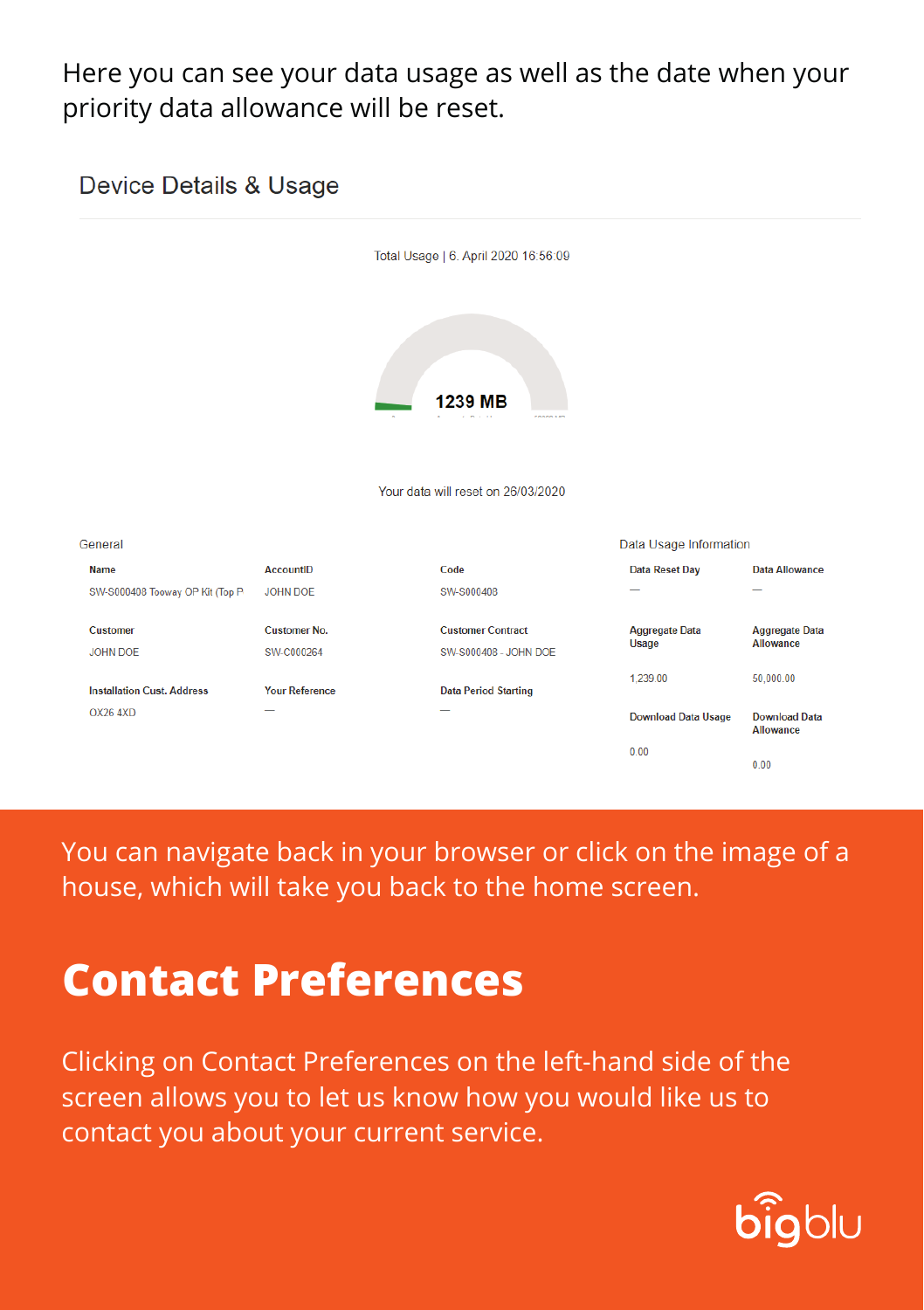#### Here you can see your data usage as well as the date when your priority data allowance will be reset.



You can navigate back in your browser or click on the image of a house, which will take you back to the home screen.

## **Contact Preferences**

Clicking on Contact Preferences on the left-hand side of the screen allows you to let us know how you would like us to contact you about your current service.

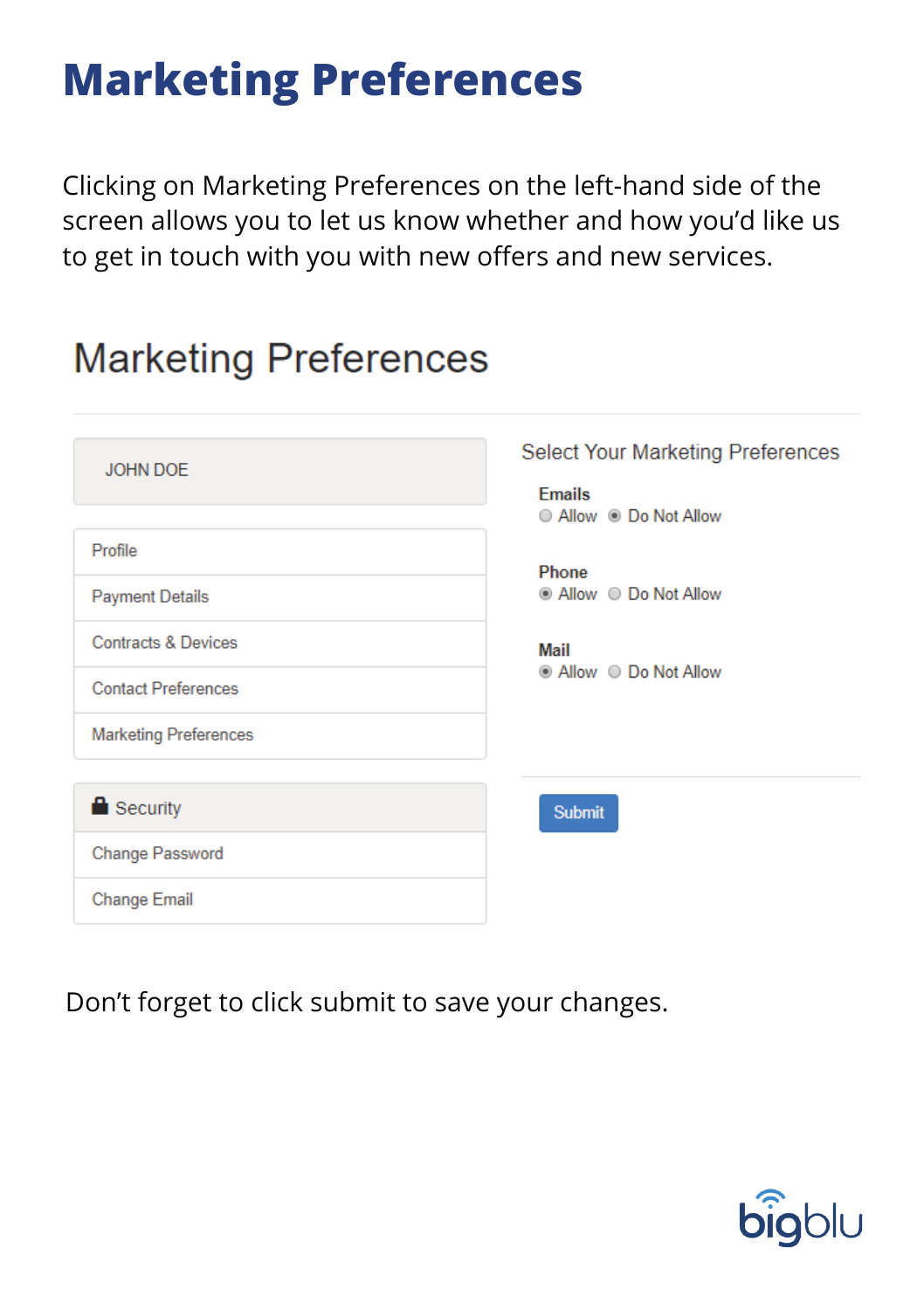## **Marketing Preferences**

Clicking on Marketing Preferences on the left-hand side of the screen allows you to let us know whether and how you'd like us to get in touch with you with new offers and new services.

### **Marketing Preferences**

| <b>JOHN DOE</b>                | <b>Select Your Marketing Preferences</b><br><b>Emails</b><br>■ Allow  ■ Do Not Allow |
|--------------------------------|--------------------------------------------------------------------------------------|
| Profile                        | Phone                                                                                |
| <b>Payment Details</b>         |                                                                                      |
| <b>Contracts &amp; Devices</b> | Mail                                                                                 |
| <b>Contact Preferences</b>     |                                                                                      |
| <b>Marketing Preferences</b>   |                                                                                      |
|                                |                                                                                      |
| $\blacksquare$ Security        | <b>Submit</b>                                                                        |
| <b>Change Password</b>         |                                                                                      |
| <b>Change Email</b>            |                                                                                      |

Don't forget to click submit to save your changes.

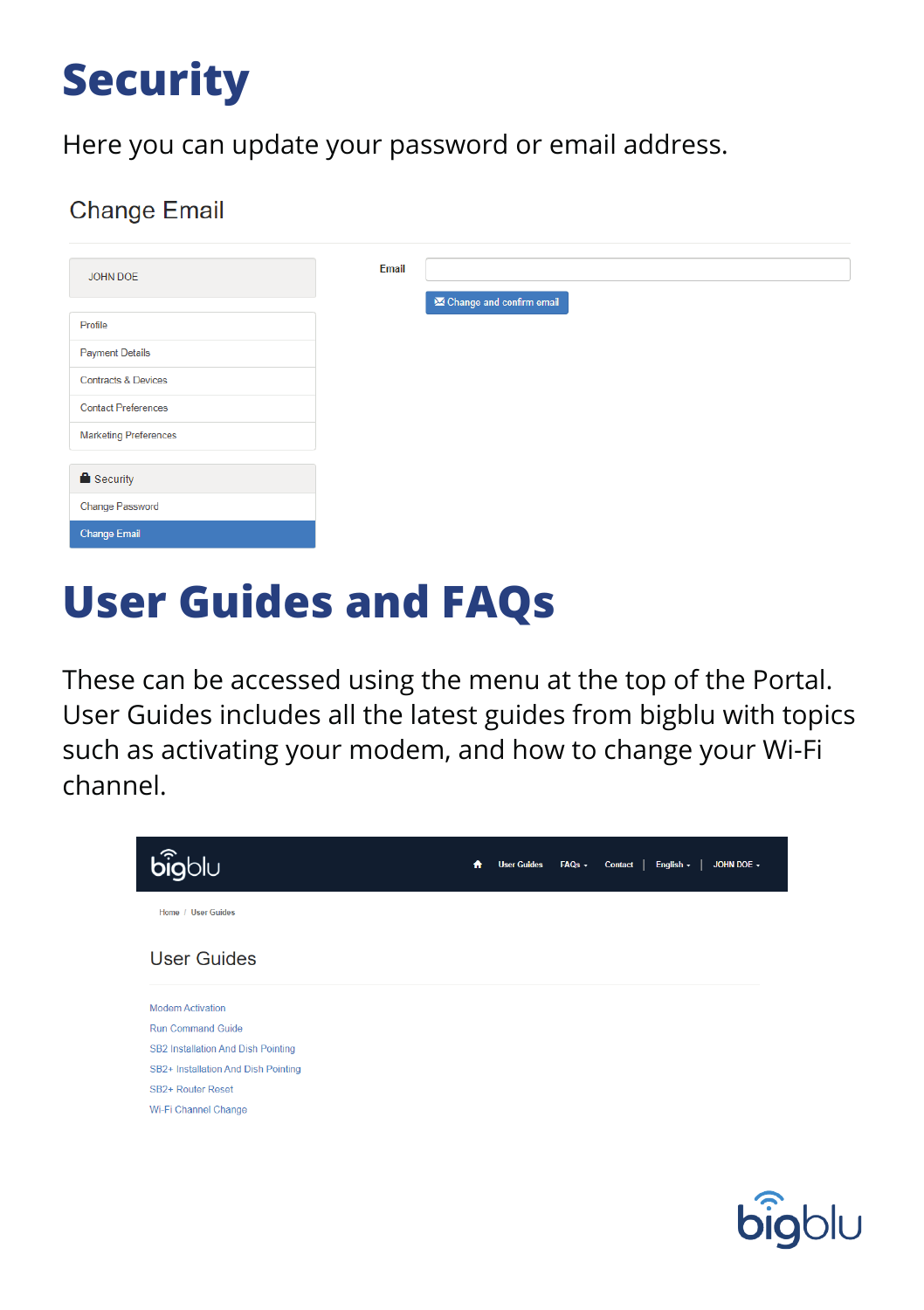## **Security**

Here you can update your password or email address.

#### **Change Email**

| JOHN DOE                       | Email |                             |
|--------------------------------|-------|-----------------------------|
| Profile                        |       | XX Change and confirm email |
| <b>Payment Details</b>         |       |                             |
| <b>Contracts &amp; Devices</b> |       |                             |
| <b>Contact Preferences</b>     |       |                             |
| <b>Marketing Preferences</b>   |       |                             |
| <b>Security</b>                |       |                             |
|                                |       |                             |
| <b>Change Password</b>         |       |                             |
| <b>Change Email</b>            |       |                             |

## **User Guides and FAQs**

These can be accessed using the menu at the top of the Portal. User Guides includes all the latest guides from bigblu with topics such as activating your modem, and how to change your Wi-Fi channel.



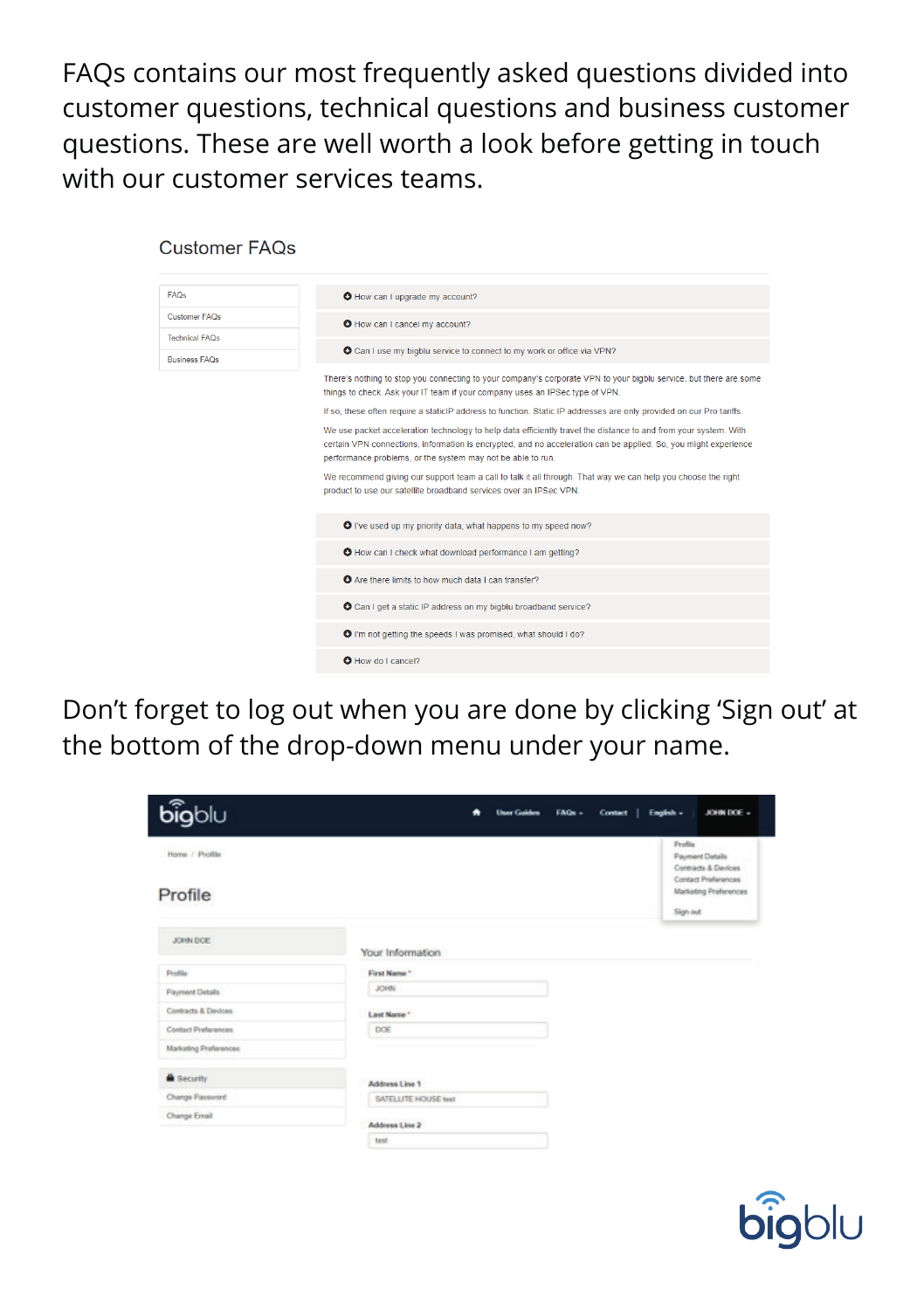FAQs contains our most frequently asked questions divided into customer questions, technical questions and business customer questions. These are well worth a look before getting in touch with our customer services teams.

**Customer FAOs** 

| FAQs                  | O How can I upgrade my account?                                                                                                                                                                                                                                                                    |
|-----------------------|----------------------------------------------------------------------------------------------------------------------------------------------------------------------------------------------------------------------------------------------------------------------------------------------------|
| Customer FAOs         | O How can I cancel my account?                                                                                                                                                                                                                                                                     |
| <b>Technical FAOs</b> | O Can I use my bigblu service to connect to my work or office via VPN?                                                                                                                                                                                                                             |
| <b>Business FAOs</b>  | There's nothing to stop you connecting to your company's corporate VPN to your bigblu service, but there are some                                                                                                                                                                                  |
|                       | things to check. Ask your IT team if your company uses an IPSec type of VPN.                                                                                                                                                                                                                       |
|                       | If so, these often require a staticlP address to function. Static IP addresses are only provided on our Pro tariffs.                                                                                                                                                                               |
|                       | We use packet acceleration technology to help data efficiently travel the distance to and from your system. With<br>certain VPN connections, information is encrypted, and no acceleration can be applied. So, you might experience<br>performance problems, or the system may not be able to run. |
|                       | We recommend giving our support team a call to talk it all through. That way we can help you choose the right<br>product to use our satellite broadband services over an IPSec VPN.                                                                                                                |
|                       | O I've used up my priority data, what happens to my speed now?                                                                                                                                                                                                                                     |
|                       | O How can I check what download performance I am getting?                                                                                                                                                                                                                                          |
|                       | O Are there limits to how much data I can transfer?                                                                                                                                                                                                                                                |
|                       | <b>O</b> Can I get a static IP address on my bigblu broadband service?                                                                                                                                                                                                                             |
|                       | <b>O</b> I'm not getting the speeds I was promised, what should I do?                                                                                                                                                                                                                              |
|                       | <b>O</b> How do Lcancel?                                                                                                                                                                                                                                                                           |

Don't forget to log out when you are done by clicking 'Sign out' at the bottom of the drop-down menu under your name.